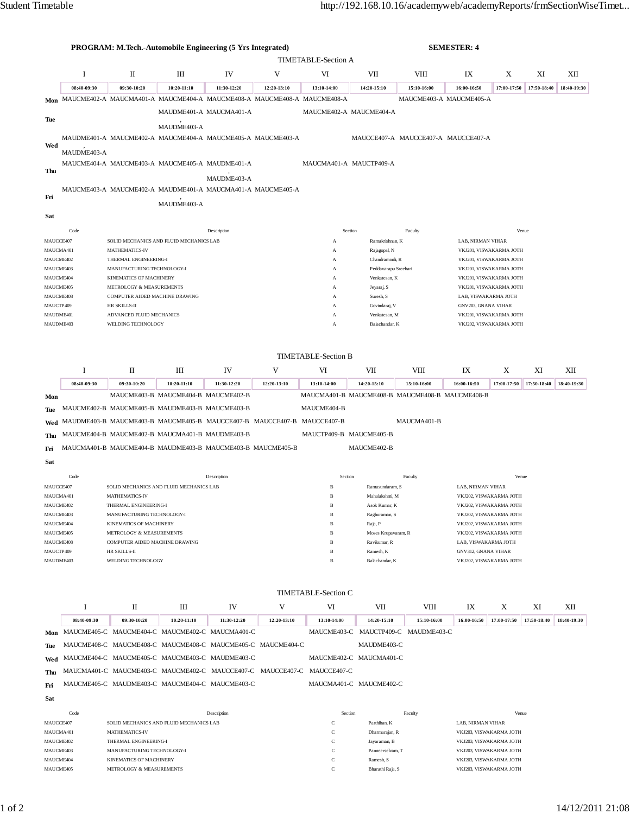| <b>TIMETABLE-Section A</b><br>I<br>V<br>П<br>Ш<br>IV<br>VI<br>VII<br>VIII<br>IX<br>X<br>XI<br>XII<br>08:40-09:30<br>09:30-10:20<br>$10:20 - 11:10$<br>11:30-12:20<br>12:20-13:10<br>13:10-14:00<br>14:20-15:10<br>15:10-16:00<br>16:00-16:50<br>17:00-17:50<br>17:50-18:40<br>18:40-19:30<br>Mon MAUCME402-A MAUCMA401-A MAUCME404-A MAUCME408-A MAUCME408-A MAUCME408-A<br>MAUCME403-A MAUCME405-A<br>MAUDME401-A MAUCMA401-A<br>MAUCME402-A MAUCME404-A<br>Tue<br>MAUDME403-A<br>MAUDME401-A MAUCME402-A MAUCME404-A MAUCME405-A MAUCME403-A<br>MAUCCE407-A MAUCCE407-A MAUCCE407-A<br>Wed<br>MAUDME403-A<br>MAUCME404-A MAUCME403-A MAUCME405-A MAUDME401-A<br>MAUCMA401-A MAUCTP409-A<br>Thu<br>MAUDME403-A<br>MAUCME403-A MAUCME402-A MAUDME401-A MAUCMA401-A MAUCME405-A<br>Fri<br>MAUDME403-A<br>Sat<br>Code<br>Description<br>Section<br>Faculty<br>Venue<br>MAUCCE407<br>SOLID MECHANICS AND FLUID MECHANICS LAB<br>Ramakrishnan, K<br>LAB, NIRMAN VIHAR<br>A<br>MAUCMA401<br><b>MATHEMATICS-IV</b><br>Rajagopal, N<br>VKJ201, VISWAKARMA JOTH<br>A<br>MAUCME402<br>THERMAL ENGINEERING-I<br>Chandramouli, R<br>VKJ201, VISWAKARMA JOTH<br>А<br>MAUCME403<br>MANUFACTURING TECHNOLOGY-I<br>Peddavarapu Sreehari<br>VKJ201, VISWAKARMA JOTH<br>А<br>MAUCME404<br>KINEMATICS OF MACHINERY<br>Venkatesan, K<br>VKJ201, VISWAKARMA JOTH<br>А<br>MAUCME405<br>METROLOGY & MEASUREMENTS<br>Jeyaraj, S<br>VKJ201, VISWAKARMA JOTH<br>А<br>COMPUTER AIDED MACHINE DRAWING<br>Suresh, S<br>LAB, VISWAKARMA JOTH<br>MAUCME408<br>А<br>MAUCTP409<br>HR SKILLS-II<br>Govindaraj, V<br>GNV203, GNANA VIHAR<br>A<br>ADVANCED FLUID MECHANICS<br>MAUDME401<br>Venkatesan, M<br>VKJ201, VISWAKARMA JOTH<br>A<br>MAUDME403<br>WELDING TECHNOLOGY<br>Balachandar, K<br>VKJ202, VISWAKARMA JOTH<br>A<br><b>TIMETABLE-Section B</b><br>I<br>П<br>Ш<br>V<br>IX<br>IV<br>VI<br>VII<br>VIII<br>X<br>XI<br>XІІ<br>14:20-15:10<br>17:00-17:50<br>17:50-18:40<br>08:40-09:30<br>09:30-10:20<br>10:20-11:10<br>11:30-12:20<br>12:20-13:10<br>13:10-14:00<br>15:10-16:00<br>16:00-16:50<br>MAUCME403-B MAUCME404-B MAUCME402-B<br>MAUCMA401-B MAUCME408-B MAUCME408-B MAUCME408-B<br>Mon<br>MAUCME402-B MAUCME405-B MAUDME403-B MAUCME403-B<br>MAUCME404-B<br>Tue<br>MAUDME403-B MAUCME403-B MAUCME405-B MAUCCE407-B MAUCCE407-B MAUCCE407-B<br>MAUCMA401-B<br>Wed<br>MAUCME404-B MAUCME402-B MAUCMA401-B MAUDME403-B<br>MAUCTP409-B MAUCME405-B<br>MAUCMA401-B MAUCME404-B MAUDME403-B MAUCME403-B MAUCME405-B<br>MAUCME402-B<br>Sat<br>Code<br>Description<br>Section<br>Faculty<br>Venue<br>MAUCCE407<br>SOLID MECHANICS AND FLUID MECHANICS LAB<br>$\, {\bf B}$<br>Ramasundaram, S<br>LAB, NIRMAN VIHAR<br>Mahalakshmi, M<br>VKJ202, VISWAKARMA JOTH<br>MAUCMA401<br>MATHEMATICS-IV<br>B<br>MAUCME402<br>THERMAL ENGINEERING-I<br>Asok Kumar, K<br>VKJ202. VISWAKARMA JOTH<br>Ŕ<br>MANUFACTURING TECHNOLOGY-I<br>$\, {\bf B}$<br>VKJ202, VISWAKARMA JOTH<br>MAUCME403<br>Raghuraman, S<br>MAUCME404<br>KINEMATICS OF MACHINERY<br>$\, {\bf B}$<br>Raja, P<br>VKJ202, VISWAKARMA JOTH<br>MAUCME405<br>VKJ202, VISWAKARMA JOTH<br>METROLOGY & MEASUREMENTS<br>B<br>Moses Krupavaram, R<br>MAUCME408<br>COMPUTER AIDED MACHINE DRAWING<br>$\, {\bf B}$<br>Ravikumar, R<br>LAB, VISWAKARMA JOTH<br>MAUCTP409<br>Ramesh, K<br>HR SKILLS-II<br>B<br><b>GNV312, GNANA VIHAR</b><br>MAUDME403<br>WELDING TECHNOLOGY<br>Balachandar, K<br>VKJ202, VISWAKARMA JOTH<br>B<br><b>TIMETABLE-Section C</b><br>I<br>Ш<br>IV<br>V<br>VI<br>VII<br>VШ<br>XІІ<br>П<br>IX<br>X<br>XI<br>17:50-18:40<br>18:40-19:30<br>08:40-09:30<br>09:30-10:20<br>10:20-11:10<br>11:30-12:20<br>12:20-13:10<br>13:10-14:00<br>14:20-15:10<br>15:10-16:00<br>16:00-16:50<br>17:00-17:50<br>MAUCME405-C MAUCME404-C MAUCME402-C MAUCMA401-C<br>MAUCME403-C MAUCTP409-C MAUDME403-C<br>Mon<br>MAUCME408-C MAUCME408-C MAUCME408-C MAUCME405-C MAUCME404-C<br>MAUDME403-C<br>Tue<br>MAUCME404-C MAUCME405-C MAUCME403-C MAUDME403-C<br>MAUCME402-C MAUCMA401-C<br>Wed<br>MAUCMA401-C MAUCME403-C MAUCME402-C MAUCCE407-C MAUCCE407-C MAUCCE407-C<br>Thu<br>MAUCME405-C MAUDME403-C MAUCME404-C MAUCME403-C<br>MAUCMA401-C MAUCME402-C<br>Fri<br>Sat<br>Code<br>Description<br>Section<br>Faculty<br>Venue<br>MAUCCE407<br>$\mathbf C$<br>SOLID MECHANICS AND FLUID MECHANICS LAB<br>Parthiban, K<br>LAB, NIRMAN VIHAR<br>$\mathbf C$<br>MAUCMA401<br>MATHEMATICS-IV<br>Dharmarajan, R<br>VKJ203, VISWAKARMA JOTH<br>$\mathbf C$<br>MAUCME402<br>THERMAL ENGINEERING-I<br>Jayaraman, B<br>VKJ203, VISWAKARMA JOTH<br>$\mathbf C$<br>MAUCME403<br>MANUFACTURING TECHNOLOGY-I<br>Panneerselvam, T<br>VKJ203, VISWAKARMA JOTH<br>$\mathbf C$<br>MAUCME404<br>KINEMATICS OF MACHINERY<br>Ramesh, S<br>VKJ203, VISWAKARMA JOTH<br>MAUCME405<br>$\mathbf C$<br>METROLOGY & MEASUREMENTS<br>Bharathi Raja, S<br>VKJ203, VISWAKARMA JOTH |     |  | PROGRAM: M.Tech.-Automobile Engineering (5 Yrs Integrated) |  |  |  |  |  | <b>SEMESTER: 4</b> |  |  |  |             |  |  |
|----------------------------------------------------------------------------------------------------------------------------------------------------------------------------------------------------------------------------------------------------------------------------------------------------------------------------------------------------------------------------------------------------------------------------------------------------------------------------------------------------------------------------------------------------------------------------------------------------------------------------------------------------------------------------------------------------------------------------------------------------------------------------------------------------------------------------------------------------------------------------------------------------------------------------------------------------------------------------------------------------------------------------------------------------------------------------------------------------------------------------------------------------------------------------------------------------------------------------------------------------------------------------------------------------------------------------------------------------------------------------------------------------------------------------------------------------------------------------------------------------------------------------------------------------------------------------------------------------------------------------------------------------------------------------------------------------------------------------------------------------------------------------------------------------------------------------------------------------------------------------------------------------------------------------------------------------------------------------------------------------------------------------------------------------------------------------------------------------------------------------------------------------------------------------------------------------------------------------------------------------------------------------------------------------------------------------------------------------------------------------------------------------------------------------------------------------------------------------------------------------------------------------------------------------------------------------------------------------------------------------------------------------------------------------------------------------------------------------------------------------------------------------------------------------------------------------------------------------------------------------------------------------------------------------------------------------------------------------------------------------------------------------------------------------------------------------------------------------------------------------------------------------------------------------------------------------------------------------------------------------------------------------------------------------------------------------------------------------------------------------------------------------------------------------------------------------------------------------------------------------------------------------------------------------------------------------------------------------------------------------------------------------------------------------------------------------------------------------------------------------------------------------------------------------------------------------------------------------------------------------------------------------------------------------------------------------------------------------------------------------------------------------------------------------------------------------------------------------------------------------------------------------------------------------------------------------------------------------------------------------------------------------------------------------------------------------------------------------------------------------------------------------------------------------------------------------------------------------------------------------------------------------------------------------------------------------------------------------------------------------------------------------------------------------------------------------------------------------------------------------------------------------------------------------------------------------------------------------------------------------|-----|--|------------------------------------------------------------|--|--|--|--|--|--------------------|--|--|--|-------------|--|--|
|                                                                                                                                                                                                                                                                                                                                                                                                                                                                                                                                                                                                                                                                                                                                                                                                                                                                                                                                                                                                                                                                                                                                                                                                                                                                                                                                                                                                                                                                                                                                                                                                                                                                                                                                                                                                                                                                                                                                                                                                                                                                                                                                                                                                                                                                                                                                                                                                                                                                                                                                                                                                                                                                                                                                                                                                                                                                                                                                                                                                                                                                                                                                                                                                                                                                                                                                                                                                                                                                                                                                                                                                                                                                                                                                                                                                                                                                                                                                                                                                                                                                                                                                                                                                                                                                                                                                                                                                                                                                                                                                                                                                                                                                                                                                                                                                                                                                            |     |  |                                                            |  |  |  |  |  |                    |  |  |  |             |  |  |
|                                                                                                                                                                                                                                                                                                                                                                                                                                                                                                                                                                                                                                                                                                                                                                                                                                                                                                                                                                                                                                                                                                                                                                                                                                                                                                                                                                                                                                                                                                                                                                                                                                                                                                                                                                                                                                                                                                                                                                                                                                                                                                                                                                                                                                                                                                                                                                                                                                                                                                                                                                                                                                                                                                                                                                                                                                                                                                                                                                                                                                                                                                                                                                                                                                                                                                                                                                                                                                                                                                                                                                                                                                                                                                                                                                                                                                                                                                                                                                                                                                                                                                                                                                                                                                                                                                                                                                                                                                                                                                                                                                                                                                                                                                                                                                                                                                                                            |     |  |                                                            |  |  |  |  |  |                    |  |  |  |             |  |  |
|                                                                                                                                                                                                                                                                                                                                                                                                                                                                                                                                                                                                                                                                                                                                                                                                                                                                                                                                                                                                                                                                                                                                                                                                                                                                                                                                                                                                                                                                                                                                                                                                                                                                                                                                                                                                                                                                                                                                                                                                                                                                                                                                                                                                                                                                                                                                                                                                                                                                                                                                                                                                                                                                                                                                                                                                                                                                                                                                                                                                                                                                                                                                                                                                                                                                                                                                                                                                                                                                                                                                                                                                                                                                                                                                                                                                                                                                                                                                                                                                                                                                                                                                                                                                                                                                                                                                                                                                                                                                                                                                                                                                                                                                                                                                                                                                                                                                            |     |  |                                                            |  |  |  |  |  |                    |  |  |  |             |  |  |
|                                                                                                                                                                                                                                                                                                                                                                                                                                                                                                                                                                                                                                                                                                                                                                                                                                                                                                                                                                                                                                                                                                                                                                                                                                                                                                                                                                                                                                                                                                                                                                                                                                                                                                                                                                                                                                                                                                                                                                                                                                                                                                                                                                                                                                                                                                                                                                                                                                                                                                                                                                                                                                                                                                                                                                                                                                                                                                                                                                                                                                                                                                                                                                                                                                                                                                                                                                                                                                                                                                                                                                                                                                                                                                                                                                                                                                                                                                                                                                                                                                                                                                                                                                                                                                                                                                                                                                                                                                                                                                                                                                                                                                                                                                                                                                                                                                                                            |     |  |                                                            |  |  |  |  |  |                    |  |  |  |             |  |  |
|                                                                                                                                                                                                                                                                                                                                                                                                                                                                                                                                                                                                                                                                                                                                                                                                                                                                                                                                                                                                                                                                                                                                                                                                                                                                                                                                                                                                                                                                                                                                                                                                                                                                                                                                                                                                                                                                                                                                                                                                                                                                                                                                                                                                                                                                                                                                                                                                                                                                                                                                                                                                                                                                                                                                                                                                                                                                                                                                                                                                                                                                                                                                                                                                                                                                                                                                                                                                                                                                                                                                                                                                                                                                                                                                                                                                                                                                                                                                                                                                                                                                                                                                                                                                                                                                                                                                                                                                                                                                                                                                                                                                                                                                                                                                                                                                                                                                            |     |  |                                                            |  |  |  |  |  |                    |  |  |  |             |  |  |
|                                                                                                                                                                                                                                                                                                                                                                                                                                                                                                                                                                                                                                                                                                                                                                                                                                                                                                                                                                                                                                                                                                                                                                                                                                                                                                                                                                                                                                                                                                                                                                                                                                                                                                                                                                                                                                                                                                                                                                                                                                                                                                                                                                                                                                                                                                                                                                                                                                                                                                                                                                                                                                                                                                                                                                                                                                                                                                                                                                                                                                                                                                                                                                                                                                                                                                                                                                                                                                                                                                                                                                                                                                                                                                                                                                                                                                                                                                                                                                                                                                                                                                                                                                                                                                                                                                                                                                                                                                                                                                                                                                                                                                                                                                                                                                                                                                                                            |     |  |                                                            |  |  |  |  |  |                    |  |  |  |             |  |  |
|                                                                                                                                                                                                                                                                                                                                                                                                                                                                                                                                                                                                                                                                                                                                                                                                                                                                                                                                                                                                                                                                                                                                                                                                                                                                                                                                                                                                                                                                                                                                                                                                                                                                                                                                                                                                                                                                                                                                                                                                                                                                                                                                                                                                                                                                                                                                                                                                                                                                                                                                                                                                                                                                                                                                                                                                                                                                                                                                                                                                                                                                                                                                                                                                                                                                                                                                                                                                                                                                                                                                                                                                                                                                                                                                                                                                                                                                                                                                                                                                                                                                                                                                                                                                                                                                                                                                                                                                                                                                                                                                                                                                                                                                                                                                                                                                                                                                            |     |  |                                                            |  |  |  |  |  |                    |  |  |  |             |  |  |
|                                                                                                                                                                                                                                                                                                                                                                                                                                                                                                                                                                                                                                                                                                                                                                                                                                                                                                                                                                                                                                                                                                                                                                                                                                                                                                                                                                                                                                                                                                                                                                                                                                                                                                                                                                                                                                                                                                                                                                                                                                                                                                                                                                                                                                                                                                                                                                                                                                                                                                                                                                                                                                                                                                                                                                                                                                                                                                                                                                                                                                                                                                                                                                                                                                                                                                                                                                                                                                                                                                                                                                                                                                                                                                                                                                                                                                                                                                                                                                                                                                                                                                                                                                                                                                                                                                                                                                                                                                                                                                                                                                                                                                                                                                                                                                                                                                                                            |     |  |                                                            |  |  |  |  |  |                    |  |  |  |             |  |  |
|                                                                                                                                                                                                                                                                                                                                                                                                                                                                                                                                                                                                                                                                                                                                                                                                                                                                                                                                                                                                                                                                                                                                                                                                                                                                                                                                                                                                                                                                                                                                                                                                                                                                                                                                                                                                                                                                                                                                                                                                                                                                                                                                                                                                                                                                                                                                                                                                                                                                                                                                                                                                                                                                                                                                                                                                                                                                                                                                                                                                                                                                                                                                                                                                                                                                                                                                                                                                                                                                                                                                                                                                                                                                                                                                                                                                                                                                                                                                                                                                                                                                                                                                                                                                                                                                                                                                                                                                                                                                                                                                                                                                                                                                                                                                                                                                                                                                            |     |  |                                                            |  |  |  |  |  |                    |  |  |  |             |  |  |
|                                                                                                                                                                                                                                                                                                                                                                                                                                                                                                                                                                                                                                                                                                                                                                                                                                                                                                                                                                                                                                                                                                                                                                                                                                                                                                                                                                                                                                                                                                                                                                                                                                                                                                                                                                                                                                                                                                                                                                                                                                                                                                                                                                                                                                                                                                                                                                                                                                                                                                                                                                                                                                                                                                                                                                                                                                                                                                                                                                                                                                                                                                                                                                                                                                                                                                                                                                                                                                                                                                                                                                                                                                                                                                                                                                                                                                                                                                                                                                                                                                                                                                                                                                                                                                                                                                                                                                                                                                                                                                                                                                                                                                                                                                                                                                                                                                                                            |     |  |                                                            |  |  |  |  |  |                    |  |  |  |             |  |  |
|                                                                                                                                                                                                                                                                                                                                                                                                                                                                                                                                                                                                                                                                                                                                                                                                                                                                                                                                                                                                                                                                                                                                                                                                                                                                                                                                                                                                                                                                                                                                                                                                                                                                                                                                                                                                                                                                                                                                                                                                                                                                                                                                                                                                                                                                                                                                                                                                                                                                                                                                                                                                                                                                                                                                                                                                                                                                                                                                                                                                                                                                                                                                                                                                                                                                                                                                                                                                                                                                                                                                                                                                                                                                                                                                                                                                                                                                                                                                                                                                                                                                                                                                                                                                                                                                                                                                                                                                                                                                                                                                                                                                                                                                                                                                                                                                                                                                            |     |  |                                                            |  |  |  |  |  |                    |  |  |  |             |  |  |
|                                                                                                                                                                                                                                                                                                                                                                                                                                                                                                                                                                                                                                                                                                                                                                                                                                                                                                                                                                                                                                                                                                                                                                                                                                                                                                                                                                                                                                                                                                                                                                                                                                                                                                                                                                                                                                                                                                                                                                                                                                                                                                                                                                                                                                                                                                                                                                                                                                                                                                                                                                                                                                                                                                                                                                                                                                                                                                                                                                                                                                                                                                                                                                                                                                                                                                                                                                                                                                                                                                                                                                                                                                                                                                                                                                                                                                                                                                                                                                                                                                                                                                                                                                                                                                                                                                                                                                                                                                                                                                                                                                                                                                                                                                                                                                                                                                                                            |     |  |                                                            |  |  |  |  |  |                    |  |  |  |             |  |  |
|                                                                                                                                                                                                                                                                                                                                                                                                                                                                                                                                                                                                                                                                                                                                                                                                                                                                                                                                                                                                                                                                                                                                                                                                                                                                                                                                                                                                                                                                                                                                                                                                                                                                                                                                                                                                                                                                                                                                                                                                                                                                                                                                                                                                                                                                                                                                                                                                                                                                                                                                                                                                                                                                                                                                                                                                                                                                                                                                                                                                                                                                                                                                                                                                                                                                                                                                                                                                                                                                                                                                                                                                                                                                                                                                                                                                                                                                                                                                                                                                                                                                                                                                                                                                                                                                                                                                                                                                                                                                                                                                                                                                                                                                                                                                                                                                                                                                            |     |  |                                                            |  |  |  |  |  |                    |  |  |  |             |  |  |
|                                                                                                                                                                                                                                                                                                                                                                                                                                                                                                                                                                                                                                                                                                                                                                                                                                                                                                                                                                                                                                                                                                                                                                                                                                                                                                                                                                                                                                                                                                                                                                                                                                                                                                                                                                                                                                                                                                                                                                                                                                                                                                                                                                                                                                                                                                                                                                                                                                                                                                                                                                                                                                                                                                                                                                                                                                                                                                                                                                                                                                                                                                                                                                                                                                                                                                                                                                                                                                                                                                                                                                                                                                                                                                                                                                                                                                                                                                                                                                                                                                                                                                                                                                                                                                                                                                                                                                                                                                                                                                                                                                                                                                                                                                                                                                                                                                                                            |     |  |                                                            |  |  |  |  |  |                    |  |  |  |             |  |  |
|                                                                                                                                                                                                                                                                                                                                                                                                                                                                                                                                                                                                                                                                                                                                                                                                                                                                                                                                                                                                                                                                                                                                                                                                                                                                                                                                                                                                                                                                                                                                                                                                                                                                                                                                                                                                                                                                                                                                                                                                                                                                                                                                                                                                                                                                                                                                                                                                                                                                                                                                                                                                                                                                                                                                                                                                                                                                                                                                                                                                                                                                                                                                                                                                                                                                                                                                                                                                                                                                                                                                                                                                                                                                                                                                                                                                                                                                                                                                                                                                                                                                                                                                                                                                                                                                                                                                                                                                                                                                                                                                                                                                                                                                                                                                                                                                                                                                            |     |  |                                                            |  |  |  |  |  |                    |  |  |  |             |  |  |
|                                                                                                                                                                                                                                                                                                                                                                                                                                                                                                                                                                                                                                                                                                                                                                                                                                                                                                                                                                                                                                                                                                                                                                                                                                                                                                                                                                                                                                                                                                                                                                                                                                                                                                                                                                                                                                                                                                                                                                                                                                                                                                                                                                                                                                                                                                                                                                                                                                                                                                                                                                                                                                                                                                                                                                                                                                                                                                                                                                                                                                                                                                                                                                                                                                                                                                                                                                                                                                                                                                                                                                                                                                                                                                                                                                                                                                                                                                                                                                                                                                                                                                                                                                                                                                                                                                                                                                                                                                                                                                                                                                                                                                                                                                                                                                                                                                                                            |     |  |                                                            |  |  |  |  |  |                    |  |  |  |             |  |  |
|                                                                                                                                                                                                                                                                                                                                                                                                                                                                                                                                                                                                                                                                                                                                                                                                                                                                                                                                                                                                                                                                                                                                                                                                                                                                                                                                                                                                                                                                                                                                                                                                                                                                                                                                                                                                                                                                                                                                                                                                                                                                                                                                                                                                                                                                                                                                                                                                                                                                                                                                                                                                                                                                                                                                                                                                                                                                                                                                                                                                                                                                                                                                                                                                                                                                                                                                                                                                                                                                                                                                                                                                                                                                                                                                                                                                                                                                                                                                                                                                                                                                                                                                                                                                                                                                                                                                                                                                                                                                                                                                                                                                                                                                                                                                                                                                                                                                            |     |  |                                                            |  |  |  |  |  |                    |  |  |  |             |  |  |
|                                                                                                                                                                                                                                                                                                                                                                                                                                                                                                                                                                                                                                                                                                                                                                                                                                                                                                                                                                                                                                                                                                                                                                                                                                                                                                                                                                                                                                                                                                                                                                                                                                                                                                                                                                                                                                                                                                                                                                                                                                                                                                                                                                                                                                                                                                                                                                                                                                                                                                                                                                                                                                                                                                                                                                                                                                                                                                                                                                                                                                                                                                                                                                                                                                                                                                                                                                                                                                                                                                                                                                                                                                                                                                                                                                                                                                                                                                                                                                                                                                                                                                                                                                                                                                                                                                                                                                                                                                                                                                                                                                                                                                                                                                                                                                                                                                                                            |     |  |                                                            |  |  |  |  |  |                    |  |  |  |             |  |  |
|                                                                                                                                                                                                                                                                                                                                                                                                                                                                                                                                                                                                                                                                                                                                                                                                                                                                                                                                                                                                                                                                                                                                                                                                                                                                                                                                                                                                                                                                                                                                                                                                                                                                                                                                                                                                                                                                                                                                                                                                                                                                                                                                                                                                                                                                                                                                                                                                                                                                                                                                                                                                                                                                                                                                                                                                                                                                                                                                                                                                                                                                                                                                                                                                                                                                                                                                                                                                                                                                                                                                                                                                                                                                                                                                                                                                                                                                                                                                                                                                                                                                                                                                                                                                                                                                                                                                                                                                                                                                                                                                                                                                                                                                                                                                                                                                                                                                            |     |  |                                                            |  |  |  |  |  |                    |  |  |  |             |  |  |
|                                                                                                                                                                                                                                                                                                                                                                                                                                                                                                                                                                                                                                                                                                                                                                                                                                                                                                                                                                                                                                                                                                                                                                                                                                                                                                                                                                                                                                                                                                                                                                                                                                                                                                                                                                                                                                                                                                                                                                                                                                                                                                                                                                                                                                                                                                                                                                                                                                                                                                                                                                                                                                                                                                                                                                                                                                                                                                                                                                                                                                                                                                                                                                                                                                                                                                                                                                                                                                                                                                                                                                                                                                                                                                                                                                                                                                                                                                                                                                                                                                                                                                                                                                                                                                                                                                                                                                                                                                                                                                                                                                                                                                                                                                                                                                                                                                                                            |     |  |                                                            |  |  |  |  |  |                    |  |  |  |             |  |  |
|                                                                                                                                                                                                                                                                                                                                                                                                                                                                                                                                                                                                                                                                                                                                                                                                                                                                                                                                                                                                                                                                                                                                                                                                                                                                                                                                                                                                                                                                                                                                                                                                                                                                                                                                                                                                                                                                                                                                                                                                                                                                                                                                                                                                                                                                                                                                                                                                                                                                                                                                                                                                                                                                                                                                                                                                                                                                                                                                                                                                                                                                                                                                                                                                                                                                                                                                                                                                                                                                                                                                                                                                                                                                                                                                                                                                                                                                                                                                                                                                                                                                                                                                                                                                                                                                                                                                                                                                                                                                                                                                                                                                                                                                                                                                                                                                                                                                            |     |  |                                                            |  |  |  |  |  |                    |  |  |  |             |  |  |
|                                                                                                                                                                                                                                                                                                                                                                                                                                                                                                                                                                                                                                                                                                                                                                                                                                                                                                                                                                                                                                                                                                                                                                                                                                                                                                                                                                                                                                                                                                                                                                                                                                                                                                                                                                                                                                                                                                                                                                                                                                                                                                                                                                                                                                                                                                                                                                                                                                                                                                                                                                                                                                                                                                                                                                                                                                                                                                                                                                                                                                                                                                                                                                                                                                                                                                                                                                                                                                                                                                                                                                                                                                                                                                                                                                                                                                                                                                                                                                                                                                                                                                                                                                                                                                                                                                                                                                                                                                                                                                                                                                                                                                                                                                                                                                                                                                                                            |     |  |                                                            |  |  |  |  |  |                    |  |  |  |             |  |  |
|                                                                                                                                                                                                                                                                                                                                                                                                                                                                                                                                                                                                                                                                                                                                                                                                                                                                                                                                                                                                                                                                                                                                                                                                                                                                                                                                                                                                                                                                                                                                                                                                                                                                                                                                                                                                                                                                                                                                                                                                                                                                                                                                                                                                                                                                                                                                                                                                                                                                                                                                                                                                                                                                                                                                                                                                                                                                                                                                                                                                                                                                                                                                                                                                                                                                                                                                                                                                                                                                                                                                                                                                                                                                                                                                                                                                                                                                                                                                                                                                                                                                                                                                                                                                                                                                                                                                                                                                                                                                                                                                                                                                                                                                                                                                                                                                                                                                            |     |  |                                                            |  |  |  |  |  |                    |  |  |  |             |  |  |
|                                                                                                                                                                                                                                                                                                                                                                                                                                                                                                                                                                                                                                                                                                                                                                                                                                                                                                                                                                                                                                                                                                                                                                                                                                                                                                                                                                                                                                                                                                                                                                                                                                                                                                                                                                                                                                                                                                                                                                                                                                                                                                                                                                                                                                                                                                                                                                                                                                                                                                                                                                                                                                                                                                                                                                                                                                                                                                                                                                                                                                                                                                                                                                                                                                                                                                                                                                                                                                                                                                                                                                                                                                                                                                                                                                                                                                                                                                                                                                                                                                                                                                                                                                                                                                                                                                                                                                                                                                                                                                                                                                                                                                                                                                                                                                                                                                                                            |     |  |                                                            |  |  |  |  |  |                    |  |  |  |             |  |  |
|                                                                                                                                                                                                                                                                                                                                                                                                                                                                                                                                                                                                                                                                                                                                                                                                                                                                                                                                                                                                                                                                                                                                                                                                                                                                                                                                                                                                                                                                                                                                                                                                                                                                                                                                                                                                                                                                                                                                                                                                                                                                                                                                                                                                                                                                                                                                                                                                                                                                                                                                                                                                                                                                                                                                                                                                                                                                                                                                                                                                                                                                                                                                                                                                                                                                                                                                                                                                                                                                                                                                                                                                                                                                                                                                                                                                                                                                                                                                                                                                                                                                                                                                                                                                                                                                                                                                                                                                                                                                                                                                                                                                                                                                                                                                                                                                                                                                            |     |  |                                                            |  |  |  |  |  |                    |  |  |  |             |  |  |
|                                                                                                                                                                                                                                                                                                                                                                                                                                                                                                                                                                                                                                                                                                                                                                                                                                                                                                                                                                                                                                                                                                                                                                                                                                                                                                                                                                                                                                                                                                                                                                                                                                                                                                                                                                                                                                                                                                                                                                                                                                                                                                                                                                                                                                                                                                                                                                                                                                                                                                                                                                                                                                                                                                                                                                                                                                                                                                                                                                                                                                                                                                                                                                                                                                                                                                                                                                                                                                                                                                                                                                                                                                                                                                                                                                                                                                                                                                                                                                                                                                                                                                                                                                                                                                                                                                                                                                                                                                                                                                                                                                                                                                                                                                                                                                                                                                                                            |     |  |                                                            |  |  |  |  |  |                    |  |  |  |             |  |  |
|                                                                                                                                                                                                                                                                                                                                                                                                                                                                                                                                                                                                                                                                                                                                                                                                                                                                                                                                                                                                                                                                                                                                                                                                                                                                                                                                                                                                                                                                                                                                                                                                                                                                                                                                                                                                                                                                                                                                                                                                                                                                                                                                                                                                                                                                                                                                                                                                                                                                                                                                                                                                                                                                                                                                                                                                                                                                                                                                                                                                                                                                                                                                                                                                                                                                                                                                                                                                                                                                                                                                                                                                                                                                                                                                                                                                                                                                                                                                                                                                                                                                                                                                                                                                                                                                                                                                                                                                                                                                                                                                                                                                                                                                                                                                                                                                                                                                            |     |  |                                                            |  |  |  |  |  |                    |  |  |  |             |  |  |
|                                                                                                                                                                                                                                                                                                                                                                                                                                                                                                                                                                                                                                                                                                                                                                                                                                                                                                                                                                                                                                                                                                                                                                                                                                                                                                                                                                                                                                                                                                                                                                                                                                                                                                                                                                                                                                                                                                                                                                                                                                                                                                                                                                                                                                                                                                                                                                                                                                                                                                                                                                                                                                                                                                                                                                                                                                                                                                                                                                                                                                                                                                                                                                                                                                                                                                                                                                                                                                                                                                                                                                                                                                                                                                                                                                                                                                                                                                                                                                                                                                                                                                                                                                                                                                                                                                                                                                                                                                                                                                                                                                                                                                                                                                                                                                                                                                                                            |     |  |                                                            |  |  |  |  |  |                    |  |  |  | 18:40-19:30 |  |  |
|                                                                                                                                                                                                                                                                                                                                                                                                                                                                                                                                                                                                                                                                                                                                                                                                                                                                                                                                                                                                                                                                                                                                                                                                                                                                                                                                                                                                                                                                                                                                                                                                                                                                                                                                                                                                                                                                                                                                                                                                                                                                                                                                                                                                                                                                                                                                                                                                                                                                                                                                                                                                                                                                                                                                                                                                                                                                                                                                                                                                                                                                                                                                                                                                                                                                                                                                                                                                                                                                                                                                                                                                                                                                                                                                                                                                                                                                                                                                                                                                                                                                                                                                                                                                                                                                                                                                                                                                                                                                                                                                                                                                                                                                                                                                                                                                                                                                            |     |  |                                                            |  |  |  |  |  |                    |  |  |  |             |  |  |
|                                                                                                                                                                                                                                                                                                                                                                                                                                                                                                                                                                                                                                                                                                                                                                                                                                                                                                                                                                                                                                                                                                                                                                                                                                                                                                                                                                                                                                                                                                                                                                                                                                                                                                                                                                                                                                                                                                                                                                                                                                                                                                                                                                                                                                                                                                                                                                                                                                                                                                                                                                                                                                                                                                                                                                                                                                                                                                                                                                                                                                                                                                                                                                                                                                                                                                                                                                                                                                                                                                                                                                                                                                                                                                                                                                                                                                                                                                                                                                                                                                                                                                                                                                                                                                                                                                                                                                                                                                                                                                                                                                                                                                                                                                                                                                                                                                                                            |     |  |                                                            |  |  |  |  |  |                    |  |  |  |             |  |  |
|                                                                                                                                                                                                                                                                                                                                                                                                                                                                                                                                                                                                                                                                                                                                                                                                                                                                                                                                                                                                                                                                                                                                                                                                                                                                                                                                                                                                                                                                                                                                                                                                                                                                                                                                                                                                                                                                                                                                                                                                                                                                                                                                                                                                                                                                                                                                                                                                                                                                                                                                                                                                                                                                                                                                                                                                                                                                                                                                                                                                                                                                                                                                                                                                                                                                                                                                                                                                                                                                                                                                                                                                                                                                                                                                                                                                                                                                                                                                                                                                                                                                                                                                                                                                                                                                                                                                                                                                                                                                                                                                                                                                                                                                                                                                                                                                                                                                            |     |  |                                                            |  |  |  |  |  |                    |  |  |  |             |  |  |
|                                                                                                                                                                                                                                                                                                                                                                                                                                                                                                                                                                                                                                                                                                                                                                                                                                                                                                                                                                                                                                                                                                                                                                                                                                                                                                                                                                                                                                                                                                                                                                                                                                                                                                                                                                                                                                                                                                                                                                                                                                                                                                                                                                                                                                                                                                                                                                                                                                                                                                                                                                                                                                                                                                                                                                                                                                                                                                                                                                                                                                                                                                                                                                                                                                                                                                                                                                                                                                                                                                                                                                                                                                                                                                                                                                                                                                                                                                                                                                                                                                                                                                                                                                                                                                                                                                                                                                                                                                                                                                                                                                                                                                                                                                                                                                                                                                                                            | Thu |  |                                                            |  |  |  |  |  |                    |  |  |  |             |  |  |
|                                                                                                                                                                                                                                                                                                                                                                                                                                                                                                                                                                                                                                                                                                                                                                                                                                                                                                                                                                                                                                                                                                                                                                                                                                                                                                                                                                                                                                                                                                                                                                                                                                                                                                                                                                                                                                                                                                                                                                                                                                                                                                                                                                                                                                                                                                                                                                                                                                                                                                                                                                                                                                                                                                                                                                                                                                                                                                                                                                                                                                                                                                                                                                                                                                                                                                                                                                                                                                                                                                                                                                                                                                                                                                                                                                                                                                                                                                                                                                                                                                                                                                                                                                                                                                                                                                                                                                                                                                                                                                                                                                                                                                                                                                                                                                                                                                                                            | Fri |  |                                                            |  |  |  |  |  |                    |  |  |  |             |  |  |
|                                                                                                                                                                                                                                                                                                                                                                                                                                                                                                                                                                                                                                                                                                                                                                                                                                                                                                                                                                                                                                                                                                                                                                                                                                                                                                                                                                                                                                                                                                                                                                                                                                                                                                                                                                                                                                                                                                                                                                                                                                                                                                                                                                                                                                                                                                                                                                                                                                                                                                                                                                                                                                                                                                                                                                                                                                                                                                                                                                                                                                                                                                                                                                                                                                                                                                                                                                                                                                                                                                                                                                                                                                                                                                                                                                                                                                                                                                                                                                                                                                                                                                                                                                                                                                                                                                                                                                                                                                                                                                                                                                                                                                                                                                                                                                                                                                                                            |     |  |                                                            |  |  |  |  |  |                    |  |  |  |             |  |  |
|                                                                                                                                                                                                                                                                                                                                                                                                                                                                                                                                                                                                                                                                                                                                                                                                                                                                                                                                                                                                                                                                                                                                                                                                                                                                                                                                                                                                                                                                                                                                                                                                                                                                                                                                                                                                                                                                                                                                                                                                                                                                                                                                                                                                                                                                                                                                                                                                                                                                                                                                                                                                                                                                                                                                                                                                                                                                                                                                                                                                                                                                                                                                                                                                                                                                                                                                                                                                                                                                                                                                                                                                                                                                                                                                                                                                                                                                                                                                                                                                                                                                                                                                                                                                                                                                                                                                                                                                                                                                                                                                                                                                                                                                                                                                                                                                                                                                            |     |  |                                                            |  |  |  |  |  |                    |  |  |  |             |  |  |
|                                                                                                                                                                                                                                                                                                                                                                                                                                                                                                                                                                                                                                                                                                                                                                                                                                                                                                                                                                                                                                                                                                                                                                                                                                                                                                                                                                                                                                                                                                                                                                                                                                                                                                                                                                                                                                                                                                                                                                                                                                                                                                                                                                                                                                                                                                                                                                                                                                                                                                                                                                                                                                                                                                                                                                                                                                                                                                                                                                                                                                                                                                                                                                                                                                                                                                                                                                                                                                                                                                                                                                                                                                                                                                                                                                                                                                                                                                                                                                                                                                                                                                                                                                                                                                                                                                                                                                                                                                                                                                                                                                                                                                                                                                                                                                                                                                                                            |     |  |                                                            |  |  |  |  |  |                    |  |  |  |             |  |  |
|                                                                                                                                                                                                                                                                                                                                                                                                                                                                                                                                                                                                                                                                                                                                                                                                                                                                                                                                                                                                                                                                                                                                                                                                                                                                                                                                                                                                                                                                                                                                                                                                                                                                                                                                                                                                                                                                                                                                                                                                                                                                                                                                                                                                                                                                                                                                                                                                                                                                                                                                                                                                                                                                                                                                                                                                                                                                                                                                                                                                                                                                                                                                                                                                                                                                                                                                                                                                                                                                                                                                                                                                                                                                                                                                                                                                                                                                                                                                                                                                                                                                                                                                                                                                                                                                                                                                                                                                                                                                                                                                                                                                                                                                                                                                                                                                                                                                            |     |  |                                                            |  |  |  |  |  |                    |  |  |  |             |  |  |
|                                                                                                                                                                                                                                                                                                                                                                                                                                                                                                                                                                                                                                                                                                                                                                                                                                                                                                                                                                                                                                                                                                                                                                                                                                                                                                                                                                                                                                                                                                                                                                                                                                                                                                                                                                                                                                                                                                                                                                                                                                                                                                                                                                                                                                                                                                                                                                                                                                                                                                                                                                                                                                                                                                                                                                                                                                                                                                                                                                                                                                                                                                                                                                                                                                                                                                                                                                                                                                                                                                                                                                                                                                                                                                                                                                                                                                                                                                                                                                                                                                                                                                                                                                                                                                                                                                                                                                                                                                                                                                                                                                                                                                                                                                                                                                                                                                                                            |     |  |                                                            |  |  |  |  |  |                    |  |  |  |             |  |  |
|                                                                                                                                                                                                                                                                                                                                                                                                                                                                                                                                                                                                                                                                                                                                                                                                                                                                                                                                                                                                                                                                                                                                                                                                                                                                                                                                                                                                                                                                                                                                                                                                                                                                                                                                                                                                                                                                                                                                                                                                                                                                                                                                                                                                                                                                                                                                                                                                                                                                                                                                                                                                                                                                                                                                                                                                                                                                                                                                                                                                                                                                                                                                                                                                                                                                                                                                                                                                                                                                                                                                                                                                                                                                                                                                                                                                                                                                                                                                                                                                                                                                                                                                                                                                                                                                                                                                                                                                                                                                                                                                                                                                                                                                                                                                                                                                                                                                            |     |  |                                                            |  |  |  |  |  |                    |  |  |  |             |  |  |
|                                                                                                                                                                                                                                                                                                                                                                                                                                                                                                                                                                                                                                                                                                                                                                                                                                                                                                                                                                                                                                                                                                                                                                                                                                                                                                                                                                                                                                                                                                                                                                                                                                                                                                                                                                                                                                                                                                                                                                                                                                                                                                                                                                                                                                                                                                                                                                                                                                                                                                                                                                                                                                                                                                                                                                                                                                                                                                                                                                                                                                                                                                                                                                                                                                                                                                                                                                                                                                                                                                                                                                                                                                                                                                                                                                                                                                                                                                                                                                                                                                                                                                                                                                                                                                                                                                                                                                                                                                                                                                                                                                                                                                                                                                                                                                                                                                                                            |     |  |                                                            |  |  |  |  |  |                    |  |  |  |             |  |  |
|                                                                                                                                                                                                                                                                                                                                                                                                                                                                                                                                                                                                                                                                                                                                                                                                                                                                                                                                                                                                                                                                                                                                                                                                                                                                                                                                                                                                                                                                                                                                                                                                                                                                                                                                                                                                                                                                                                                                                                                                                                                                                                                                                                                                                                                                                                                                                                                                                                                                                                                                                                                                                                                                                                                                                                                                                                                                                                                                                                                                                                                                                                                                                                                                                                                                                                                                                                                                                                                                                                                                                                                                                                                                                                                                                                                                                                                                                                                                                                                                                                                                                                                                                                                                                                                                                                                                                                                                                                                                                                                                                                                                                                                                                                                                                                                                                                                                            |     |  |                                                            |  |  |  |  |  |                    |  |  |  |             |  |  |
|                                                                                                                                                                                                                                                                                                                                                                                                                                                                                                                                                                                                                                                                                                                                                                                                                                                                                                                                                                                                                                                                                                                                                                                                                                                                                                                                                                                                                                                                                                                                                                                                                                                                                                                                                                                                                                                                                                                                                                                                                                                                                                                                                                                                                                                                                                                                                                                                                                                                                                                                                                                                                                                                                                                                                                                                                                                                                                                                                                                                                                                                                                                                                                                                                                                                                                                                                                                                                                                                                                                                                                                                                                                                                                                                                                                                                                                                                                                                                                                                                                                                                                                                                                                                                                                                                                                                                                                                                                                                                                                                                                                                                                                                                                                                                                                                                                                                            |     |  |                                                            |  |  |  |  |  |                    |  |  |  |             |  |  |
|                                                                                                                                                                                                                                                                                                                                                                                                                                                                                                                                                                                                                                                                                                                                                                                                                                                                                                                                                                                                                                                                                                                                                                                                                                                                                                                                                                                                                                                                                                                                                                                                                                                                                                                                                                                                                                                                                                                                                                                                                                                                                                                                                                                                                                                                                                                                                                                                                                                                                                                                                                                                                                                                                                                                                                                                                                                                                                                                                                                                                                                                                                                                                                                                                                                                                                                                                                                                                                                                                                                                                                                                                                                                                                                                                                                                                                                                                                                                                                                                                                                                                                                                                                                                                                                                                                                                                                                                                                                                                                                                                                                                                                                                                                                                                                                                                                                                            |     |  |                                                            |  |  |  |  |  |                    |  |  |  |             |  |  |
|                                                                                                                                                                                                                                                                                                                                                                                                                                                                                                                                                                                                                                                                                                                                                                                                                                                                                                                                                                                                                                                                                                                                                                                                                                                                                                                                                                                                                                                                                                                                                                                                                                                                                                                                                                                                                                                                                                                                                                                                                                                                                                                                                                                                                                                                                                                                                                                                                                                                                                                                                                                                                                                                                                                                                                                                                                                                                                                                                                                                                                                                                                                                                                                                                                                                                                                                                                                                                                                                                                                                                                                                                                                                                                                                                                                                                                                                                                                                                                                                                                                                                                                                                                                                                                                                                                                                                                                                                                                                                                                                                                                                                                                                                                                                                                                                                                                                            |     |  |                                                            |  |  |  |  |  |                    |  |  |  |             |  |  |
|                                                                                                                                                                                                                                                                                                                                                                                                                                                                                                                                                                                                                                                                                                                                                                                                                                                                                                                                                                                                                                                                                                                                                                                                                                                                                                                                                                                                                                                                                                                                                                                                                                                                                                                                                                                                                                                                                                                                                                                                                                                                                                                                                                                                                                                                                                                                                                                                                                                                                                                                                                                                                                                                                                                                                                                                                                                                                                                                                                                                                                                                                                                                                                                                                                                                                                                                                                                                                                                                                                                                                                                                                                                                                                                                                                                                                                                                                                                                                                                                                                                                                                                                                                                                                                                                                                                                                                                                                                                                                                                                                                                                                                                                                                                                                                                                                                                                            |     |  |                                                            |  |  |  |  |  |                    |  |  |  |             |  |  |
|                                                                                                                                                                                                                                                                                                                                                                                                                                                                                                                                                                                                                                                                                                                                                                                                                                                                                                                                                                                                                                                                                                                                                                                                                                                                                                                                                                                                                                                                                                                                                                                                                                                                                                                                                                                                                                                                                                                                                                                                                                                                                                                                                                                                                                                                                                                                                                                                                                                                                                                                                                                                                                                                                                                                                                                                                                                                                                                                                                                                                                                                                                                                                                                                                                                                                                                                                                                                                                                                                                                                                                                                                                                                                                                                                                                                                                                                                                                                                                                                                                                                                                                                                                                                                                                                                                                                                                                                                                                                                                                                                                                                                                                                                                                                                                                                                                                                            |     |  |                                                            |  |  |  |  |  |                    |  |  |  |             |  |  |
|                                                                                                                                                                                                                                                                                                                                                                                                                                                                                                                                                                                                                                                                                                                                                                                                                                                                                                                                                                                                                                                                                                                                                                                                                                                                                                                                                                                                                                                                                                                                                                                                                                                                                                                                                                                                                                                                                                                                                                                                                                                                                                                                                                                                                                                                                                                                                                                                                                                                                                                                                                                                                                                                                                                                                                                                                                                                                                                                                                                                                                                                                                                                                                                                                                                                                                                                                                                                                                                                                                                                                                                                                                                                                                                                                                                                                                                                                                                                                                                                                                                                                                                                                                                                                                                                                                                                                                                                                                                                                                                                                                                                                                                                                                                                                                                                                                                                            |     |  |                                                            |  |  |  |  |  |                    |  |  |  |             |  |  |
|                                                                                                                                                                                                                                                                                                                                                                                                                                                                                                                                                                                                                                                                                                                                                                                                                                                                                                                                                                                                                                                                                                                                                                                                                                                                                                                                                                                                                                                                                                                                                                                                                                                                                                                                                                                                                                                                                                                                                                                                                                                                                                                                                                                                                                                                                                                                                                                                                                                                                                                                                                                                                                                                                                                                                                                                                                                                                                                                                                                                                                                                                                                                                                                                                                                                                                                                                                                                                                                                                                                                                                                                                                                                                                                                                                                                                                                                                                                                                                                                                                                                                                                                                                                                                                                                                                                                                                                                                                                                                                                                                                                                                                                                                                                                                                                                                                                                            |     |  |                                                            |  |  |  |  |  |                    |  |  |  |             |  |  |
|                                                                                                                                                                                                                                                                                                                                                                                                                                                                                                                                                                                                                                                                                                                                                                                                                                                                                                                                                                                                                                                                                                                                                                                                                                                                                                                                                                                                                                                                                                                                                                                                                                                                                                                                                                                                                                                                                                                                                                                                                                                                                                                                                                                                                                                                                                                                                                                                                                                                                                                                                                                                                                                                                                                                                                                                                                                                                                                                                                                                                                                                                                                                                                                                                                                                                                                                                                                                                                                                                                                                                                                                                                                                                                                                                                                                                                                                                                                                                                                                                                                                                                                                                                                                                                                                                                                                                                                                                                                                                                                                                                                                                                                                                                                                                                                                                                                                            |     |  |                                                            |  |  |  |  |  |                    |  |  |  |             |  |  |
|                                                                                                                                                                                                                                                                                                                                                                                                                                                                                                                                                                                                                                                                                                                                                                                                                                                                                                                                                                                                                                                                                                                                                                                                                                                                                                                                                                                                                                                                                                                                                                                                                                                                                                                                                                                                                                                                                                                                                                                                                                                                                                                                                                                                                                                                                                                                                                                                                                                                                                                                                                                                                                                                                                                                                                                                                                                                                                                                                                                                                                                                                                                                                                                                                                                                                                                                                                                                                                                                                                                                                                                                                                                                                                                                                                                                                                                                                                                                                                                                                                                                                                                                                                                                                                                                                                                                                                                                                                                                                                                                                                                                                                                                                                                                                                                                                                                                            |     |  |                                                            |  |  |  |  |  |                    |  |  |  |             |  |  |
|                                                                                                                                                                                                                                                                                                                                                                                                                                                                                                                                                                                                                                                                                                                                                                                                                                                                                                                                                                                                                                                                                                                                                                                                                                                                                                                                                                                                                                                                                                                                                                                                                                                                                                                                                                                                                                                                                                                                                                                                                                                                                                                                                                                                                                                                                                                                                                                                                                                                                                                                                                                                                                                                                                                                                                                                                                                                                                                                                                                                                                                                                                                                                                                                                                                                                                                                                                                                                                                                                                                                                                                                                                                                                                                                                                                                                                                                                                                                                                                                                                                                                                                                                                                                                                                                                                                                                                                                                                                                                                                                                                                                                                                                                                                                                                                                                                                                            |     |  |                                                            |  |  |  |  |  |                    |  |  |  |             |  |  |
|                                                                                                                                                                                                                                                                                                                                                                                                                                                                                                                                                                                                                                                                                                                                                                                                                                                                                                                                                                                                                                                                                                                                                                                                                                                                                                                                                                                                                                                                                                                                                                                                                                                                                                                                                                                                                                                                                                                                                                                                                                                                                                                                                                                                                                                                                                                                                                                                                                                                                                                                                                                                                                                                                                                                                                                                                                                                                                                                                                                                                                                                                                                                                                                                                                                                                                                                                                                                                                                                                                                                                                                                                                                                                                                                                                                                                                                                                                                                                                                                                                                                                                                                                                                                                                                                                                                                                                                                                                                                                                                                                                                                                                                                                                                                                                                                                                                                            |     |  |                                                            |  |  |  |  |  |                    |  |  |  |             |  |  |
|                                                                                                                                                                                                                                                                                                                                                                                                                                                                                                                                                                                                                                                                                                                                                                                                                                                                                                                                                                                                                                                                                                                                                                                                                                                                                                                                                                                                                                                                                                                                                                                                                                                                                                                                                                                                                                                                                                                                                                                                                                                                                                                                                                                                                                                                                                                                                                                                                                                                                                                                                                                                                                                                                                                                                                                                                                                                                                                                                                                                                                                                                                                                                                                                                                                                                                                                                                                                                                                                                                                                                                                                                                                                                                                                                                                                                                                                                                                                                                                                                                                                                                                                                                                                                                                                                                                                                                                                                                                                                                                                                                                                                                                                                                                                                                                                                                                                            |     |  |                                                            |  |  |  |  |  |                    |  |  |  |             |  |  |
|                                                                                                                                                                                                                                                                                                                                                                                                                                                                                                                                                                                                                                                                                                                                                                                                                                                                                                                                                                                                                                                                                                                                                                                                                                                                                                                                                                                                                                                                                                                                                                                                                                                                                                                                                                                                                                                                                                                                                                                                                                                                                                                                                                                                                                                                                                                                                                                                                                                                                                                                                                                                                                                                                                                                                                                                                                                                                                                                                                                                                                                                                                                                                                                                                                                                                                                                                                                                                                                                                                                                                                                                                                                                                                                                                                                                                                                                                                                                                                                                                                                                                                                                                                                                                                                                                                                                                                                                                                                                                                                                                                                                                                                                                                                                                                                                                                                                            |     |  |                                                            |  |  |  |  |  |                    |  |  |  |             |  |  |
|                                                                                                                                                                                                                                                                                                                                                                                                                                                                                                                                                                                                                                                                                                                                                                                                                                                                                                                                                                                                                                                                                                                                                                                                                                                                                                                                                                                                                                                                                                                                                                                                                                                                                                                                                                                                                                                                                                                                                                                                                                                                                                                                                                                                                                                                                                                                                                                                                                                                                                                                                                                                                                                                                                                                                                                                                                                                                                                                                                                                                                                                                                                                                                                                                                                                                                                                                                                                                                                                                                                                                                                                                                                                                                                                                                                                                                                                                                                                                                                                                                                                                                                                                                                                                                                                                                                                                                                                                                                                                                                                                                                                                                                                                                                                                                                                                                                                            |     |  |                                                            |  |  |  |  |  |                    |  |  |  |             |  |  |
|                                                                                                                                                                                                                                                                                                                                                                                                                                                                                                                                                                                                                                                                                                                                                                                                                                                                                                                                                                                                                                                                                                                                                                                                                                                                                                                                                                                                                                                                                                                                                                                                                                                                                                                                                                                                                                                                                                                                                                                                                                                                                                                                                                                                                                                                                                                                                                                                                                                                                                                                                                                                                                                                                                                                                                                                                                                                                                                                                                                                                                                                                                                                                                                                                                                                                                                                                                                                                                                                                                                                                                                                                                                                                                                                                                                                                                                                                                                                                                                                                                                                                                                                                                                                                                                                                                                                                                                                                                                                                                                                                                                                                                                                                                                                                                                                                                                                            |     |  |                                                            |  |  |  |  |  |                    |  |  |  |             |  |  |
|                                                                                                                                                                                                                                                                                                                                                                                                                                                                                                                                                                                                                                                                                                                                                                                                                                                                                                                                                                                                                                                                                                                                                                                                                                                                                                                                                                                                                                                                                                                                                                                                                                                                                                                                                                                                                                                                                                                                                                                                                                                                                                                                                                                                                                                                                                                                                                                                                                                                                                                                                                                                                                                                                                                                                                                                                                                                                                                                                                                                                                                                                                                                                                                                                                                                                                                                                                                                                                                                                                                                                                                                                                                                                                                                                                                                                                                                                                                                                                                                                                                                                                                                                                                                                                                                                                                                                                                                                                                                                                                                                                                                                                                                                                                                                                                                                                                                            |     |  |                                                            |  |  |  |  |  |                    |  |  |  |             |  |  |
|                                                                                                                                                                                                                                                                                                                                                                                                                                                                                                                                                                                                                                                                                                                                                                                                                                                                                                                                                                                                                                                                                                                                                                                                                                                                                                                                                                                                                                                                                                                                                                                                                                                                                                                                                                                                                                                                                                                                                                                                                                                                                                                                                                                                                                                                                                                                                                                                                                                                                                                                                                                                                                                                                                                                                                                                                                                                                                                                                                                                                                                                                                                                                                                                                                                                                                                                                                                                                                                                                                                                                                                                                                                                                                                                                                                                                                                                                                                                                                                                                                                                                                                                                                                                                                                                                                                                                                                                                                                                                                                                                                                                                                                                                                                                                                                                                                                                            |     |  |                                                            |  |  |  |  |  |                    |  |  |  |             |  |  |
|                                                                                                                                                                                                                                                                                                                                                                                                                                                                                                                                                                                                                                                                                                                                                                                                                                                                                                                                                                                                                                                                                                                                                                                                                                                                                                                                                                                                                                                                                                                                                                                                                                                                                                                                                                                                                                                                                                                                                                                                                                                                                                                                                                                                                                                                                                                                                                                                                                                                                                                                                                                                                                                                                                                                                                                                                                                                                                                                                                                                                                                                                                                                                                                                                                                                                                                                                                                                                                                                                                                                                                                                                                                                                                                                                                                                                                                                                                                                                                                                                                                                                                                                                                                                                                                                                                                                                                                                                                                                                                                                                                                                                                                                                                                                                                                                                                                                            |     |  |                                                            |  |  |  |  |  |                    |  |  |  |             |  |  |
|                                                                                                                                                                                                                                                                                                                                                                                                                                                                                                                                                                                                                                                                                                                                                                                                                                                                                                                                                                                                                                                                                                                                                                                                                                                                                                                                                                                                                                                                                                                                                                                                                                                                                                                                                                                                                                                                                                                                                                                                                                                                                                                                                                                                                                                                                                                                                                                                                                                                                                                                                                                                                                                                                                                                                                                                                                                                                                                                                                                                                                                                                                                                                                                                                                                                                                                                                                                                                                                                                                                                                                                                                                                                                                                                                                                                                                                                                                                                                                                                                                                                                                                                                                                                                                                                                                                                                                                                                                                                                                                                                                                                                                                                                                                                                                                                                                                                            |     |  |                                                            |  |  |  |  |  |                    |  |  |  |             |  |  |